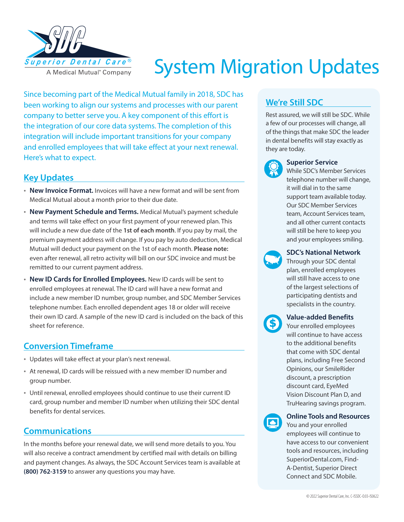

# System Migration Updates

Since becoming part of the Medical Mutual family in 2018, SDC has been working to align our systems and processes with our parent company to better serve you. A key component of this effort is the integration of our core data systems. The completion of this integration will include important transitions for your company and enrolled employees that will take effect at your next renewal. Here's what to expect.

### **Key Updates**

- **New Invoice Format.** Invoices will have a new format and will be sent from Medical Mutual about a month prior to their due date.
- **New Payment Schedule and Terms.** Medical Mutual's payment schedule and terms will take effect on your first payment of your renewed plan. This will include a new due date of the **1st of each month**. If you pay by mail, the premium payment address will change. If you pay by auto deduction, Medical Mutual will deduct your payment on the 1st of each month. **Please note:** even after renewal, all retro activity will bill on our SDC invoice and must be remitted to our current payment address.
- **New ID Cards for Enrolled Employees.** New ID cards will be sent to enrolled employees at renewal. The ID card will have a new format and include a new member ID number, group number, and SDC Member Services telephone number. Each enrolled dependent ages 18 or older will receive their own ID card. A sample of the new ID card is included on the back of this sheet for reference.

## **Conversion Timeframe**

- Updates will take effect at your plan's next renewal.
- At renewal, ID cards will be reissued with a new member ID number and group number.
- Until renewal, enrolled employees should continue to use their current ID card, group number and member ID number when utilizing their SDC dental benefits for dental services.

# **Communications**

In the months before your renewal date, we will send more details to you. You will also receive a contract amendment by certified mail with details on billing and payment changes. As always, the SDC Account Services team is available at **(800) 762-3159** to answer any questions you may have.

# **We're Still SDC**

Rest assured, we will still be SDC. While a few of our processes will change, all of the things that make SDC the leader in dental benefits will stay exactly as they are today.



#### **Superior Service**

While SDC's Member Services telephone number will change, it will dial in to the same support team available today. Our SDC Member Services team, Account Services team, and all other current contacts will still be here to keep you and your employees smiling.



#### **SDC's National Network**

Through your SDC dental plan, enrolled employees will still have access to one of the largest selections of participating dentists and specialists in the country.



#### **Value-added Benefits**

Your enrolled employees will continue to have access to the additional benefits that come with SDC dental plans, including Free Second Opinions, our SmileRider discount, a prescription discount card, EyeMed Vision Discount Plan D, and TruHearing savings program.



#### **Online Tools and Resources**

You and your enrolled employees will continue to have access to our convenient tools and resources, including SuperiorDental.com, Find-A-Dentist, Superior Direct Connect and SDC Mobile.